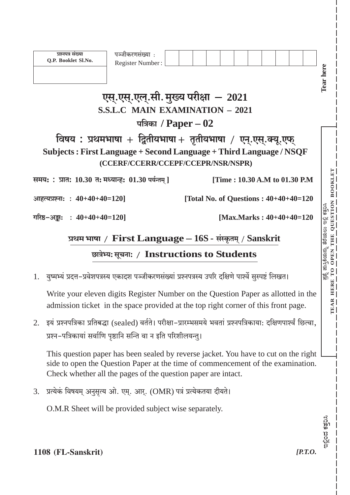| प्रश्नपत्र संख्या<br>Q.P. Booklet Sl.No.           | पञ्जीकरणसंख्या :<br>Register Number:<br>एस्.एस्.एल्.सी. मुख्य परीक्षा - 2021<br><b>S.S.L.C MAIN EXAMINATION - 2021</b> |                                                                                                                                                                         | Tear here                                              |
|----------------------------------------------------|------------------------------------------------------------------------------------------------------------------------|-------------------------------------------------------------------------------------------------------------------------------------------------------------------------|--------------------------------------------------------|
|                                                    | पत्रिका / $Paper -02$                                                                                                  |                                                                                                                                                                         |                                                        |
|                                                    | (CCERF/CCERR/CCEPF/CCEPR/NSR/NSPR)                                                                                     | विषय : प्रथमभाषा + द्वितीयभाषा + तृतीयभाषा / एन्.एस्.क्यू.एफ्<br>Subjects: First Language + Second Language + Third Language / NSQF                                     |                                                        |
| समय: : प्रात: 10.30 त: मध्यान्ह: 01.30 पर्यन्तम् ] |                                                                                                                        | [Time: 10.30 A.M to 01.30 P.M                                                                                                                                           |                                                        |
| आहत्यप्रश्नाः : $40+40+40=120$ ]                   |                                                                                                                        | [Total No. of Questions : $40+40+40=120$                                                                                                                                |                                                        |
| गरिष्ठ-अङ्काः : $40+40+40=120$ ]                   |                                                                                                                        | [Max.Marks: $40+40+40=120$                                                                                                                                              | ತೆರೆಯಲು ಇಲ್ಲಿ ಕತ್ತರಿಸಿ<br>THE QUESTION BO <u>OKLET</u> |
|                                                    |                                                                                                                        | प्रथम भाषा / First Language $-16S$ - संस्कृतम् / Sanskrit                                                                                                               | THE                                                    |
|                                                    | छात्रेभ्य: सूचना: / Instructions to Students                                                                           |                                                                                                                                                                         | ಮಸ್ತಿಕೆಯನ್ನು<br>O OPEN                                 |
|                                                    |                                                                                                                        |                                                                                                                                                                         |                                                        |
|                                                    |                                                                                                                        | 1. युष्मभ्यं प्रदत्त-प्रवेशपत्रस्य एकादश पञ्जीकरणसंख्यां प्रश्नपत्रस्य उपरि दक्षिणे पार्श्वे सुस्पष्टं लिखत।                                                            | $\frac{1}{132}$                                        |
|                                                    |                                                                                                                        | Write your eleven digits Register Number on the Question Paper as allotted in the<br>admission ticket in the space provided at the top right corner of this front page. | <b>HERE</b><br><b>AR</b><br>TE.                        |
| 2.                                                 | प्रश्न-पत्रिकायां सर्वाणि पृष्ठानि सन्ति वा न इति परिशीलयन्तु।                                                         | इयं प्रश्नपत्रिका प्रतिबद्धा (sealed) वर्तते। परीक्षा-प्रारम्भसमये भवतां प्रश्नपत्रिकाया: दक्षिणपार्श्वं छित्वा,                                                        |                                                        |

3. प्रत्येकं विषयम् अनुसृत्य ओ. एम्. आर्. (OMR) पत्रं प्रत्येकतया दीयते।

Check whether all the pages of the question paper are intact.

O.M.R Sheet will be provided subject wise separately.

 $[*P.T.0*].$ 

ಇಲ್ಲಿಂದ ಕತ್ತರಿಸಿ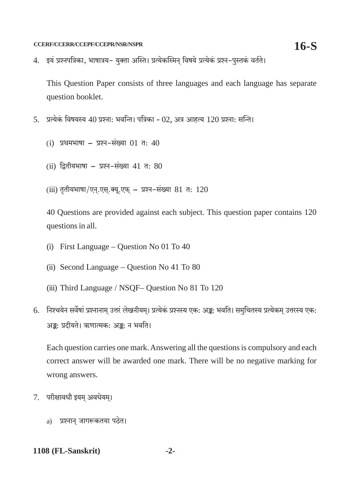4. इयं प्रश्नपत्रिका, भाषात्रय- युक्ता अस्ति। प्रत्येकस्मिन विषये प्रत्येकं प्रश्न-पुस्तकं वर्तते।

This Question Paper consists of three languages and each language has separate question booklet.

- 5. प्रत्येकं विषयस्य 40 प्रश्नाः भवन्ति। पत्रिका 02. अत्र आहत्य 120 प्रश्नाः सन्ति।
	- (i) प्रथमभाषा प्रश्न-संख्या 01 त: 40
	- (ii) द्वितीयभाषा प्रश्न-संख्या 41 त: 80
	- (iii) तृतीयभाषा/एन.एस.क्य.एफ प्रश्न-संख्या 81 त: 120

40 Questions are provided against each subject. This question paper contains 120 questions in all.

- (i) First Language Question No 01 To 40
- (ii) Second Language Question No 41 To 80
- (iii) Third Language / NSQF- Question No 81 To 120
- 6. निश्चयेन सर्वेषां प्रश्नानाम उत्तरं लेखनीयम। प्रत्येकं प्रश्नस्य एक: अङ्क: भवति। समचितस्य प्रत्येकम उत्तरस्य एक: अङ्क: प्रदीयते। ऋणात्मक: अङ्क: न भवति।

Each question carries one mark. Answering all the questions is compulsory and each correct answer will be awarded one mark. There will be no negative marking for wrong answers.

- 7. परीक्षावधौ इयम अवधेयम।
	- a) प्रश्नान जागरूकतया पठेत।

#### 1108 (FL-Sanskrit)  $-2-$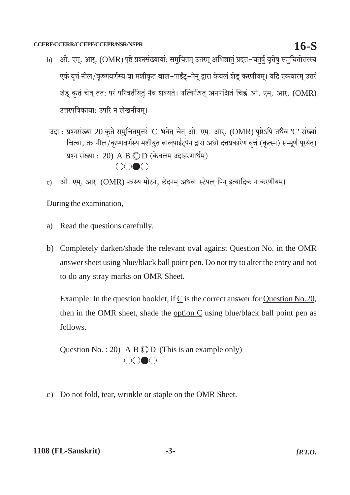- ओ. एम्. आर्. (OMR) पृष्ठे प्रश्नसंख्यायां: समुचितम् उत्तरम् अभिज्ञातुं प्रदत्त-चतुर्षु वृत्तेषु समुचितोत्तरस्य  $\mathbf{b}$ एकं वृत्तं नील/कृष्णवर्णस्य वा मशीकृत बाल-पाईंट्-पेन् द्वारा केवलं शेड् करणीयम्। यदि एकवारम् उत्तरं शेड़ कृतं चेत् तत: परं परिवर्तयितुं नैव शक्यते। यत्किश्चित् अनपेक्षितं चिह्नं ओ. एम्. आर्. (OMR) उत्तरपत्रिकाया: उपरि न लेखनीयम।
- उदा: प्रश्नसंख्या 20 कृते समुचितमुत्तरं 'C' भवेत् चेत् ओ. एम्. आर्. (OMR) पृष्ठेऽपि तथैव 'C' संख्यां चित्वा, तत्र नील/कृष्णवर्णस्य मशीयुत बाल्पाईंट्पेन द्वारा अधो दत्तप्रकारेण वृत्तं (कृत्स्नं) सम्पूर्णं पूरयेत्। प्रश्न संख्या : 20) A B  $\mathbb O$  D (केवलम् उदाहरणार्थम्)  $\bigcap_{i=1}^n$
- ओ. एम्. आर्. (OMR) पत्रस्य मोटनं, छेदनम् अथवा स्टेपल् पिन् इत्यादिकं न करणीयम्।  $\mathbf{c})$

During the examination,

- Read the questions carefully. a)
- b) Completely darken/shade the relevant oval against Question No. in the OMR answer sheet using blue/black ball point pen. Do not try to alter the entry and not to do any stray marks on OMR Sheet.

Example: In the question booklet, if C is the correct answer for Question No.20, then in the OMR sheet, shade the option C using blue/black ball point pen as follows.

Question No.: 20) A B  $\mathbb{C}$  D (This is an example only)  $\bigcirc \bigcirc \bullet \bigcirc$ 

c) Do not fold, tear, wrinkle or staple on the OMR Sheet.

# $16-S$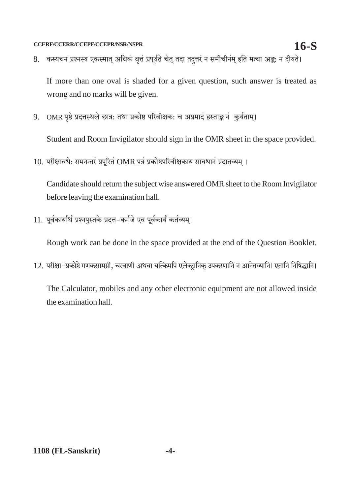8. कस्यचन प्रश्नस्य एकस्मात् अधिकं वृत्तं प्रपूर्यते चेत् तदा तदुत्तरं न समीचीनम् इति मत्वा अङ्कः न दीयते।

If more than one oval is shaded for a given question, such answer is treated as wrong and no marks will be given.

9. OMR पृष्ठे प्रदत्तस्थले छात्र: तथा प्रकोष्ठ परिवीक्षक: च अप्रमादं हस्ताङ्क नं कुर्यताम्।

Student and Room Invigilator should sign in the OMR sheet in the space provided.

10. परीक्षावधे: समनन्तरं प्रपूरितं OMR पत्रं प्रकोष्ठपरिवीक्षकाय सावधानं प्रदातव्यम् ।

Candidate should return the subject wise answered OMR sheet to the Room Invigilator before leaving the examination hall.

11. पूर्वकार्यार्थं प्रश्नपुस्तके प्रदत्त-कर्गजे एव पूर्वकार्यं कर्तव्यम्।

Rough work can be done in the space provided at the end of the Question Booklet.

12. परीक्षा-प्रकोष्ठे गणकसामग्री, चरवाणी अथवा यत्किमपि एलेक्ट्रानिक् उपकरणानि न आनेतव्यानि। एतानि निषिद्धानि।

The Calculator, mobiles and any other electronic equipment are not allowed inside the examination hall.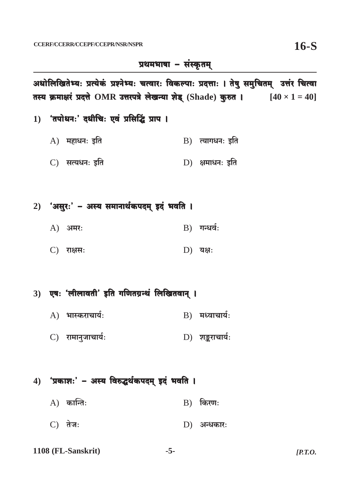## प्रथमभाषा - संस्कृतम्

अधोलिखितेभ्यः प्रत्येकं प्रश्नेभ्यः चत्वारः विकल्पाः प्रदत्ताः । तेषु समुचितम् उत्तंर चित्वा तस्य क्रमाक्षरं प्रदत्ते OMR उत्तरपत्रे लेखन्या शेड् (Shade) कुरुत ।  $[40 \times 1 = 40]$ 

- 1) 'तपोधनः' दधीचिः एवं प्रसिद्धिं प्राप ।
	- $A)$  महाधन: इति B) त्यागधनः इति
	- C) सत्यधनः इति D) क्षमाधन: इति

#### 2) 'असुरः' - अस्य समानार्थकपदम् इदं भवति ।

- $B)$  गन्धर्वः A) अमर:
- C) राक्षस:  $D)$  यक्ष:

### 3) एषः 'लीलावती' इति गणितग्रन्थं लिखितवान् ।

- $A)$  भास्कराचार्यः  $B)$  मध्वाचार्यः
- C) रामानुजाचार्यः D) शङ्कराचार्यः

#### 4) 'प्रकाशः' - अस्य विरुद्धर्थकपदम् इदं भवति ।

- $A)$  कान्ति:  $B)$  किरण:
- $C)$  तेज:  $D)$  अन्धकार:
- 1108 (FL-Sanskrit)  $-5-$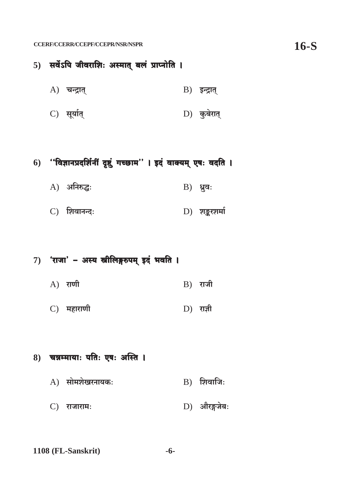### 5) सर्वेऽपि जीवराशिः अस्मात् बलं प्राप्नोति ।

- $A)$  चन्द्रात्  $B$ ) इन्द्रात्
- C) सूर्यात्  $D)$  कुबेरात्

### 6) "विज्ञानप्रदर्शिनीं दृष्टुं गच्छाम"। इदं वाक्यम् एषः वदति ।

- A) अनिरुद्धः  $B)$  ध्रुवः
- D) शङ्करशर्मा C) शिवानन्दः

#### 7) 'राजा' - अस्य स्त्रीलिङ्गरुपम् इदं भवति ।

- $A)$  राणी  $B)$  राजी
- C) महाराणी  $D)$  राज्ञी

#### 8) चन्नम्मायाः पतिः एषः अस्ति ।

- $A)$  सोमशेखरनायकः  $B)$  शिवाजि:
- D) औरङ्गजेबः C) राजाराम: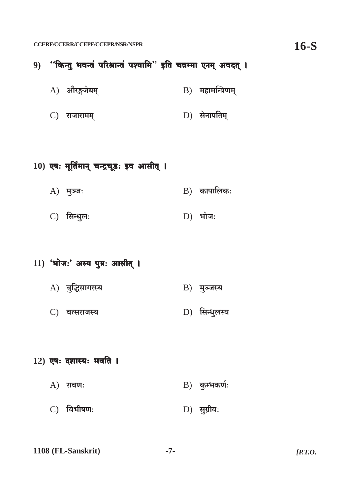- 9) "किन्तु भवन्तं परिश्रान्तं पश्यामि" इति चन्नम्मा एनम् अवदत् ।
	- A) औरङ्गजेबम्  $B$ ) महामन्त्रिणम्
	- $D)$  सेनापतिम् C) राजारामम्
- $10)$  एषः मूर्तिमान् चन्द्रचूडः इव आसीत् ।
	- $B)$  कापालिकः  $A)$  मुञ्जः
	- C) सिन्धुल:  $D)$  भोजः
- 11) 'भोजः' अस्य पुत्रः आसीत् ।
	- A) बुद्धिसागरस्य **B**) मुञ्जस्य
	- D) सिन्धुलस्य C) वत्सराजस्य
- $12)$  एषः दशास्यः भवति ।
	- $B)$  कुम्भकर्णः  $A)$  रावणः
	- D) सुग्रीवः C) विभीषण:
- 1108 (FL-Sanskrit)  $-7 [**P**.**T**.**O**.$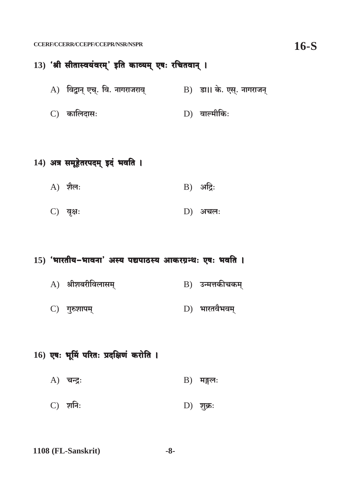### 13) 'श्री सीतास्वयंवरम्' इति काव्यम् एषः रचितवान् ।

- A) विद्वान् एच्. वि. नागराजराव्  $\qquad$  B) डा।। के. एस्. नागराजन्
- C) कालिदासः D) वाल्मीकिः

### 14) अत्र समूहेतरपदम् इदं भवति ।

- $A)$  शैल:  $B)$  अद्रिः
- C) वृक्षः  $D)$  अचल:

#### 15) 'भारतीय-भावना' अस्य पद्यपाठस्य आकरग्रन्थः एषः भवति ।

- $A)$  श्रीशबरीविलासम् **B**) उन्मत्तकीचकम्
- D) भारतवैभवम् C) गुरुशापम्

#### $16)$  एषः भूमिं परितः प्रदक्षिणं करोति ।

- $A)$  चन्द्रः  $B)$  मङ्गल:
- C) शनिः  $D)$  शुक्रः
- 1108 (FL-Sanskrit)  $-8-$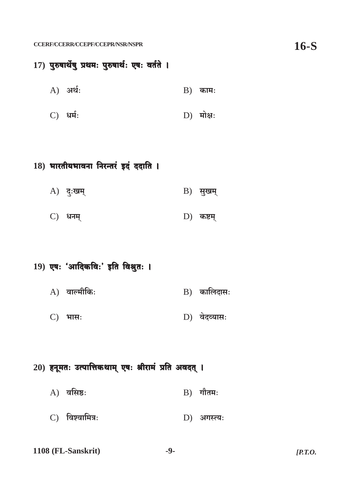### 17) पुरुषार्थेषु प्रथमः पुरुषार्थः एषः वर्तते ।

- A) अर्थः  $B)$  काम:
- C) धर्मः  $D)$  मोक्ष:

### 18) भारतीयभावना निरन्तरं इदं ददाति ।

- $A)$  दुःखम्  $B)$  सुखम्
- C) धनम्  $D)$  कष्टम्

#### 19) एषः 'आदिकविः' इति विश्रुतः ।

- $A)$  वाल्मीकिः  $B)$  कालिदासः
- $D)$  वेदव्यासः C) भास:

### $20$ ) हनूमतः उत्पात्तिकथाम् एषः श्रीरामं प्रति अवदत् ।

- $A)$  वसिष्ठ:  $B)$  गौतमः
- $C)$  विश्वामित्र: D) अगस्त्य:
- 1108 (FL-Sanskrit)  $-9 [$ *P.T.O.*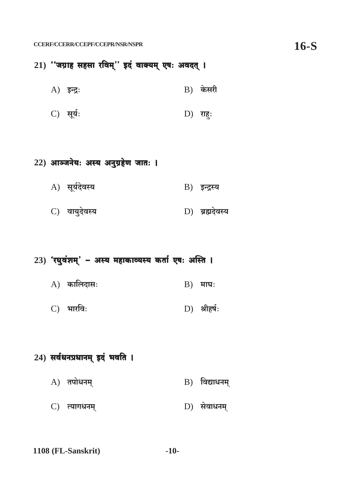21) "जग्राह सहसा रविम्" इदं वाक्यम् एषः अवदत् ।

- $B)$  केसरी  $A)$  इन्द्रः
- C) सूर्यः  $D)$  राहुः

### 22) आञ्जनेयः अस्य अनुग्रहेण जातः ।

- A) सूर्यदेवस्य B) इन्द्रस्य
- C) वायुदेवस्य D) ब्रह्मदेवस्य

### 23) 'रघुवंशम्' - अस्य महाकाव्यस्य कर्ता एषः अस्ति ।

- $A)$  कालिदासः  $B)$  माघः
- C) भारविः  $D)$  श्रीहर्षः

### 24) सर्वधनप्रधानम् इदं भवति ।

- $A)$  तपोधनम्  $B)$  विद्याधनम्
- $D)$  सेवाधनम् C) त्यागधनम्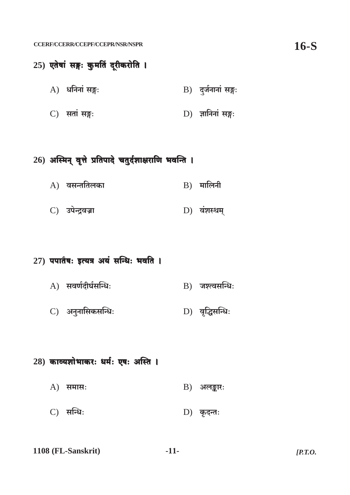## 25) एतेषां सङ्गः कुमतिं दूरीकरोति । A) धनिनां सङ्गः B) दुर्जनानां सङ्गः C) सतां सङ्गः D) ज्ञानिनां सङ्गः

## 26) अस्मिन् वृत्ते प्रतिपादे चतुर्दशाक्षराणि भवन्ति ।

- $A)$  वसन्ततिलका  $B)$  मालिनी
- D) वंशस्थम् C) उपेन्द्रवज्रा

### 27) पपातैषः इत्यत्र अयं सन्धिः भवति ।

- $A)$  सवर्णदीर्घसन्धिः B) जश्त्वसन्धिः
- C) अनुनासिकसन्धिः D) वृद्धिसन्धिः

### $28)$  काव्यशोभाकरः धर्मः एषः अस्ति ।

- $A)$  समास:  $B)$  अलङ्कार:
- C) सन्धिः  $D)$  कृदन्तः
- 1108 (FL-Sanskrit)  $-11 [**P**.**T**.**O**.]$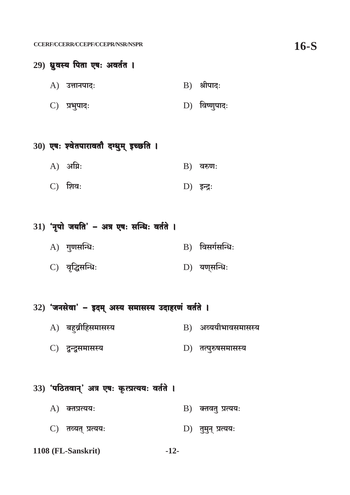### 29) ध्रुवस्य पिता एषः अवर्तत ।

 $A)$  उत्तानपादः  $B)$  श्रीपादः

 $D)$  विष्णूपादः C) प्रभुपादः

## $30)$  एषः श्वेतपारावतौ दग्धुम् इच्छति ।

- $A)$  अग्निः  $B)$  वरुणः
- D) इन्द्रः  $C)$  शिवः

#### $31)$  'नृपो जयति' - अत्र एषः सन्धिः वर्तते ।

- $A)$  गुणसन्धिः B) विसर्गसन्धिः
- C) वृद्धिसन्धिः  $D)$  यणुसन्धिः

## 32) 'जनसेवा' - इदम् अस्य समासस्य उदाहरणं वर्तते ।

- $A)$  बहुव्रीहिसमासस्य B) अव्ययीभावसमासस्य
- C) दून्द्रुसमासस्य D) तत्पुरुषसमासस्य

#### 33) 'पठितवान्' अत्र एषः कृत्प्रत्ययः वर्तते ।

- $A)$  क्तप्रत्यय:  $B)$  क्तवत् प्रत्यय:
- C) तव्यत् प्रत्ययः D) तुमुन् प्रत्यय:

1108 (FL-Sanskrit)  $-12-$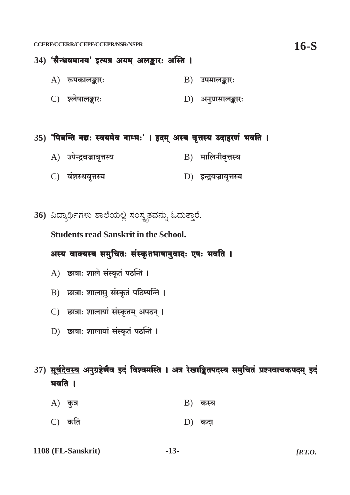### 34) 'सैन्धवमानय' इत्यत्र अयम् अलङ्कारः अस्ति ।

- $A)$  रूपकालङ्कारः  $\mathbf{B}$ ) उपमालङ्कार:
- C) श्लेषालङ्कारः D) अनुप्रासालङ्कार:

#### 35) 'पिबन्ति नद्यः स्वयमेव नाम्भः' । इदम् अस्य वृत्तस्य उदाहरणं भवति ।

- A) उपेन्द्रवज्रावृत्तस्य B) मालिनीवृत्तस्य
- C) वंशस्थवृत्तस्य D) इन्द्रवज्रावृत्तस्य

36) ವಿದ್ಯಾರ್ಥಿಗಳು ಶಾಲೆಯಲ್ಲಿ ಸಂಸ್ಥೃತವನ್ನು ಓದುತ್ತಾರೆ.

**Students read Sanskrit in the School.** 

#### अस्य वाक्यस्य समुचितः संस्कृतभाषानुवादः एषः भवति ।

- A) छात्राः शाले संस्कृतं पठन्ति ।
- B) छात्राः शालासु संस्कृतं पठिष्यन्ति ।
- C) छात्राः शालायां संस्कृतम् अपठन् ।
- D) छात्राः शालायां संस्कृतं पठन्ति ।
- 37) सूर्यदेवस्य अनुग्रहेणैव इदं विश्वमस्ति । अत्र रेखाङ्कितपदस्य समुचितं प्रश्नवाचकपदम् इदं भवति ।
	- $A)$  कुत्र  $B$ ) कस्य
	- $C$ ) कति  $D)$  कदा
- 1108 (FL-Sanskrit)  $-13 [$ *P.T.O.*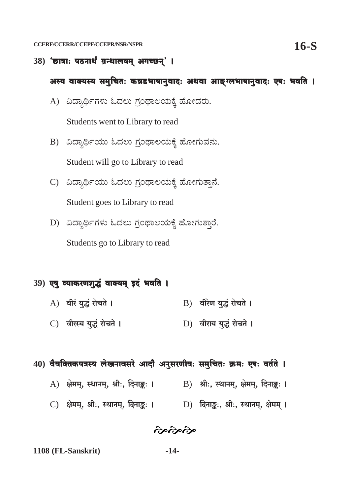$38)$  'छात्राः पठनार्थं ग्रन्थालयम् अगच्छन्' ।

#### अस्य वाक्यस्य समुचितः कन्नडभाषानुवादः अथवा आङ्ग्लभाषानुवादः एषः भवति ।

- A) ವಿದ್ಯಾರ್ಥಿಗಳು ಓದಲು ಗ್ರಂಥಾಲಯಕ್ಕೆ ಹೋದರು. Students went to Library to read
- B) ವಿದ್ಯಾರ್ಥಿಯು ಓದಲು ಗ್ರಂಥಾಲಯಕ್ಕೆ ಹೋಗುವನು. Student will go to Library to read
- C) ವಿದ್ಯಾರ್ಥಿಯು ಓದಲು ಗ್ರಂಥಾಲಯಕ್ಕೆ ಹೋಗುತ್ತಾನೆ. Student goes to Library to read
- D) ವಿದ್ಯಾರ್ಥಿಗಳು ಓದಲು ಗ್ರಂಥಾಲಯಕ್ಕೆ ಹೋಗುತ್ತಾರೆ.

Students go to Library to read

#### 39) एषु व्याकरणशुद्धं वाक्यम् इदं भवति ।

- B) वीरेण युद्धं रोचते । A) वीरं युद्धं रोचते ।
- C) वीरस्य युद्धं रोचते । D) वीराय युद्धं रोचते ।
- 40) वैयक्तिकपत्रस्य लेखनावसरे आदौ अनुसरणीयः समुचितः क्रमः एषः वर्तते ।
	- A) क्षेमम्, स्थानम्, श्रीः, दिनाङ्कः । B) श्रीः, स्थानम्, क्षेमम्, दिनाङ्कः ।
	-

જંજર્જાજી

 $-14-$ 1108 (FL-Sanskrit)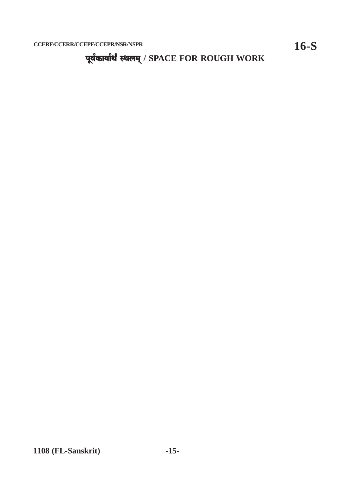पूर्वकार्यार्थं स्थलम् / SPACE FOR ROUGH WORK

1108 (FL-Sanskrit)

 $16-S$